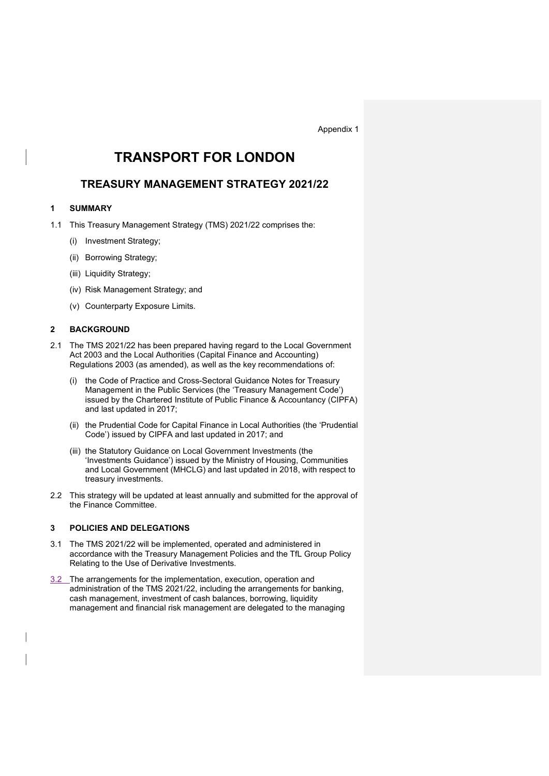Appendix 1

# TRANSPORT FOR LONDON

## TREASURY MANAGEMENT STRATEGY 2021/22

## 1 SUMMARY

- 1.1 This Treasury Management Strategy (TMS) 2021/22 comprises the:
	- (i) Investment Strategy;
	- (ii) Borrowing Strategy;
	- (iii) Liquidity Strategy;
	- (iv) Risk Management Strategy; and
	- (v) Counterparty Exposure Limits.

### 2 BACKGROUND

- 2.1 The TMS 2021/22 has been prepared having regard to the Local Government Act 2003 and the Local Authorities (Capital Finance and Accounting) Regulations 2003 (as amended), as well as the key recommendations of:
	- (i) the Code of Practice and Cross-Sectoral Guidance Notes for Treasury Management in the Public Services (the 'Treasury Management Code') issued by the Chartered Institute of Public Finance & Accountancy (CIPFA) and last updated in 2017;
	- (ii) the Prudential Code for Capital Finance in Local Authorities (the 'Prudential Code') issued by CIPFA and last updated in 2017; and
	- (iii) the Statutory Guidance on Local Government Investments (the 'Investments Guidance') issued by the Ministry of Housing, Communities and Local Government (MHCLG) and last updated in 2018, with respect to treasury investments.
- 2.2 This strategy will be updated at least annually and submitted for the approval of the Finance Committee.

#### 3 POLICIES AND DELEGATIONS

- 3.1 The TMS 2021/22 will be implemented, operated and administered in accordance with the Treasury Management Policies and the TfL Group Policy Relating to the Use of Derivative Investments.
- 3.2 The arrangements for the implementation, execution, operation and administration of the TMS 2021/22, including the arrangements for banking, cash management, investment of cash balances, borrowing, liquidity management and financial risk management are delegated to the managing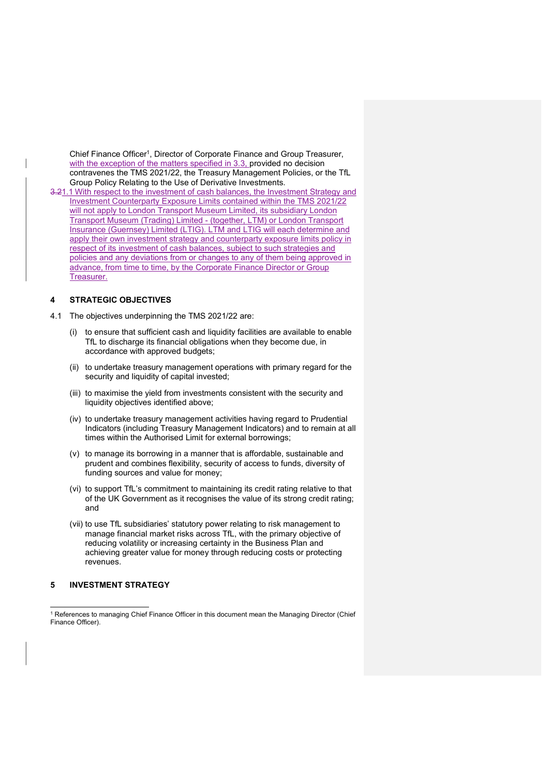Chief Finance Officer<sup>1</sup>, Director of Corporate Finance and Group Treasurer, with the exception of the matters specified in 3.3, provided no decision contravenes the TMS 2021/22, the Treasury Management Policies, or the TfL Group Policy Relating to the Use of Derivative Investments.

3.21.1 With respect to the investment of cash balances, the Investment Strategy and Investment Counterparty Exposure Limits contained within the TMS 2021/22 will not apply to London Transport Museum Limited, its subsidiary London Transport Museum (Trading) Limited - (together, LTM) or London Transport Insurance (Guernsey) Limited (LTIG). LTM and LTIG will each determine and apply their own investment strategy and counterparty exposure limits policy in respect of its investment of cash balances, subject to such strategies and policies and any deviations from or changes to any of them being approved in advance, from time to time, by the Corporate Finance Director or Group Treasurer.

#### 4 STRATEGIC OBJECTIVES

4.1 The objectives underpinning the TMS 2021/22 are:

- (i) to ensure that sufficient cash and liquidity facilities are available to enable TfL to discharge its financial obligations when they become due, in accordance with approved budgets;
- (ii) to undertake treasury management operations with primary regard for the security and liquidity of capital invested;
- (iii) to maximise the yield from investments consistent with the security and liquidity objectives identified above;
- (iv) to undertake treasury management activities having regard to Prudential Indicators (including Treasury Management Indicators) and to remain at all times within the Authorised Limit for external borrowings;
- (v) to manage its borrowing in a manner that is affordable, sustainable and prudent and combines flexibility, security of access to funds, diversity of funding sources and value for money;
- (vi) to support TfL's commitment to maintaining its credit rating relative to that of the UK Government as it recognises the value of its strong credit rating; and
- (vii) to use TfL subsidiaries' statutory power relating to risk management to manage financial market risks across TfL, with the primary objective of reducing volatility or increasing certainty in the Business Plan and achieving greater value for money through reducing costs or protecting revenues.

### 5 INVESTMENT STRATEGY

<sup>&</sup>lt;sup>1</sup> References to managing Chief Finance Officer in this document mean the Managing Director (Chief Finance Officer).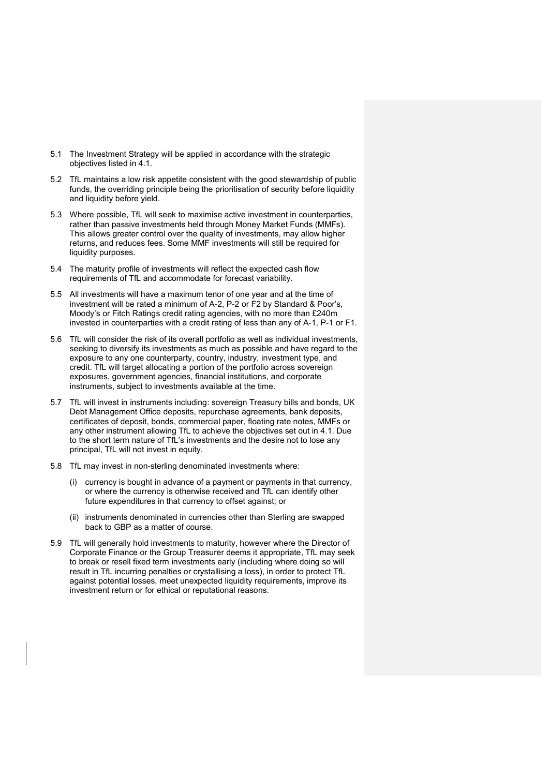- 5.1 The Investment Strategy will be applied in accordance with the strategic objectives listed in 4.1.
- 5.2 TfL maintains a low risk appetite consistent with the good stewardship of public funds, the overriding principle being the prioritisation of security before liquidity and liquidity before yield.
- 5.3 Where possible, TfL will seek to maximise active investment in counterparties, rather than passive investments held through Money Market Funds (MMFs). This allows greater control over the quality of investments, may allow higher returns, and reduces fees. Some MMF investments will still be required for liquidity purposes.
- 5.4 The maturity profile of investments will reflect the expected cash flow requirements of TfL and accommodate for forecast variability.
- 5.5 All investments will have a maximum tenor of one year and at the time of investment will be rated a minimum of A-2, P-2 or F2 by Standard & Poor's, Moody's or Fitch Ratings credit rating agencies, with no more than £240m invested in counterparties with a credit rating of less than any of A-1, P-1 or F1.
- 5.6 TfL will consider the risk of its overall portfolio as well as individual investments, seeking to diversify its investments as much as possible and have regard to the exposure to any one counterparty, country, industry, investment type, and credit. TfL will target allocating a portion of the portfolio across sovereign exposures, government agencies, financial institutions, and corporate instruments, subject to investments available at the time.
- 5.7 TfL will invest in instruments including: sovereign Treasury bills and bonds, UK Debt Management Office deposits, repurchase agreements, bank deposits, certificates of deposit, bonds, commercial paper, floating rate notes, MMFs or any other instrument allowing TfL to achieve the objectives set out in 4.1. Due to the short term nature of TfL's investments and the desire not to lose any principal, TfL will not invest in equity.
- 5.8 TfL may invest in non-sterling denominated investments where:
	- (i) currency is bought in advance of a payment or payments in that currency, or where the currency is otherwise received and TfL can identify other future expenditures in that currency to offset against; or
	- (ii) instruments denominated in currencies other than Sterling are swapped back to GBP as a matter of course.
- 5.9 TfL will generally hold investments to maturity, however where the Director of Corporate Finance or the Group Treasurer deems it appropriate, TfL may seek to break or resell fixed term investments early (including where doing so will result in TfL incurring penalties or crystallising a loss), in order to protect TfL against potential losses, meet unexpected liquidity requirements, improve its investment return or for ethical or reputational reasons.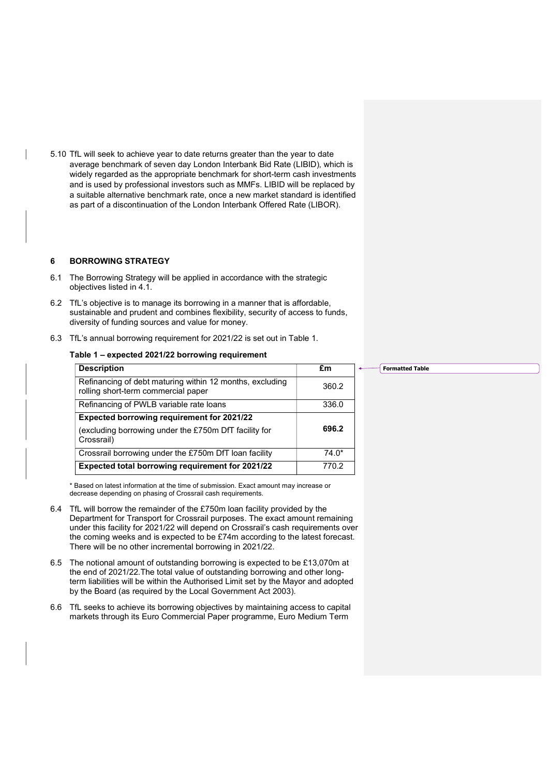5.10 TfL will seek to achieve year to date returns greater than the year to date average benchmark of seven day London Interbank Bid Rate (LIBID), which is widely regarded as the appropriate benchmark for short-term cash investments and is used by professional investors such as MMFs. LIBID will be replaced by a suitable alternative benchmark rate, once a new market standard is identified as part of a discontinuation of the London Interbank Offered Rate (LIBOR).

#### 6 BORROWING STRATEGY

- 6.1 The Borrowing Strategy will be applied in accordance with the strategic objectives listed in 4.1.
- 6.2 TfL's objective is to manage its borrowing in a manner that is affordable, sustainable and prudent and combines flexibility, security of access to funds, diversity of funding sources and value for money.
- 6.3 TfL's annual borrowing requirement for 2021/22 is set out in Table 1.

#### Table 1 – expected 2021/22 borrowing requirement

| <b>Description</b>                                                                              | £m      |
|-------------------------------------------------------------------------------------------------|---------|
| Refinancing of debt maturing within 12 months, excluding<br>rolling short-term commercial paper | 360.2   |
| Refinancing of PWLB variable rate loans                                                         | 336.0   |
| <b>Expected borrowing requirement for 2021/22</b>                                               |         |
| (excluding borrowing under the £750m DfT facility for<br>Crossrail)                             | 696.2   |
| Crossrail borrowing under the £750m DfT loan facility                                           | $74.0*$ |
| Expected total borrowing requirement for 2021/22                                                | 770.2   |

\* Based on latest information at the time of submission. Exact amount may increase or decrease depending on phasing of Crossrail cash requirements.

- 6.4 TfL will borrow the remainder of the £750m loan facility provided by the Department for Transport for Crossrail purposes. The exact amount remaining under this facility for 2021/22 will depend on Crossrail's cash requirements over the coming weeks and is expected to be £74m according to the latest forecast. There will be no other incremental borrowing in 2021/22.
- 6.5 The notional amount of outstanding borrowing is expected to be £13,070m at the end of 2021/22.The total value of outstanding borrowing and other longterm liabilities will be within the Authorised Limit set by the Mayor and adopted by the Board (as required by the Local Government Act 2003).
- 6.6 TfL seeks to achieve its borrowing objectives by maintaining access to capital markets through its Euro Commercial Paper programme, Euro Medium Term

#### Formatted Table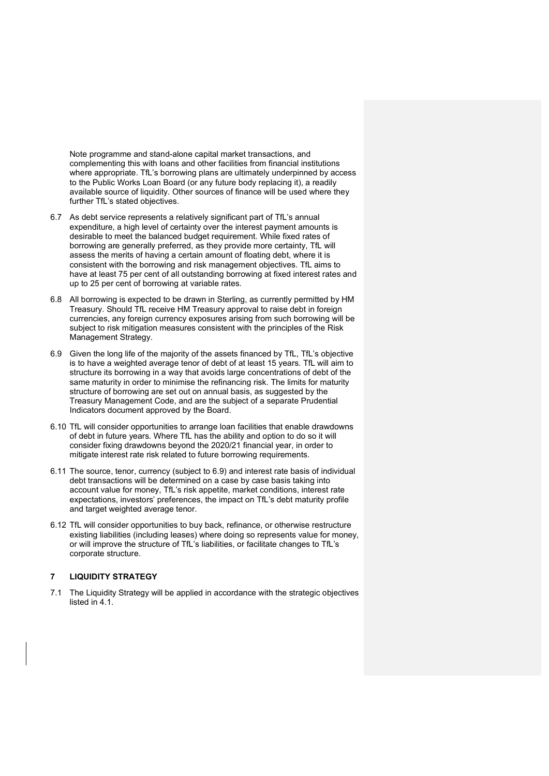Note programme and stand-alone capital market transactions, and complementing this with loans and other facilities from financial institutions where appropriate. TfL's borrowing plans are ultimately underpinned by access to the Public Works Loan Board (or any future body replacing it), a readily available source of liquidity. Other sources of finance will be used where they further TfL's stated objectives.

- 6.7 As debt service represents a relatively significant part of TfL's annual expenditure, a high level of certainty over the interest payment amounts is desirable to meet the balanced budget requirement. While fixed rates of borrowing are generally preferred, as they provide more certainty, TfL will assess the merits of having a certain amount of floating debt, where it is consistent with the borrowing and risk management objectives. TfL aims to have at least 75 per cent of all outstanding borrowing at fixed interest rates and up to 25 per cent of borrowing at variable rates.
- 6.8 All borrowing is expected to be drawn in Sterling, as currently permitted by HM Treasury. Should TfL receive HM Treasury approval to raise debt in foreign currencies, any foreign currency exposures arising from such borrowing will be subject to risk mitigation measures consistent with the principles of the Risk Management Strategy.
- 6.9 Given the long life of the majority of the assets financed by TfL, TfL's objective is to have a weighted average tenor of debt of at least 15 years. TfL will aim to structure its borrowing in a way that avoids large concentrations of debt of the same maturity in order to minimise the refinancing risk. The limits for maturity structure of borrowing are set out on annual basis, as suggested by the Treasury Management Code, and are the subject of a separate Prudential Indicators document approved by the Board.
- 6.10 TfL will consider opportunities to arrange loan facilities that enable drawdowns of debt in future years. Where TfL has the ability and option to do so it will consider fixing drawdowns beyond the 2020/21 financial year, in order to mitigate interest rate risk related to future borrowing requirements.
- 6.11 The source, tenor, currency (subject to 6.9) and interest rate basis of individual debt transactions will be determined on a case by case basis taking into account value for money, TfL's risk appetite, market conditions, interest rate expectations, investors' preferences, the impact on TfL's debt maturity profile and target weighted average tenor.
- 6.12 TfL will consider opportunities to buy back, refinance, or otherwise restructure existing liabilities (including leases) where doing so represents value for money, or will improve the structure of TfL's liabilities, or facilitate changes to TfL's corporate structure.

#### 7 LIQUIDITY STRATEGY

7.1 The Liquidity Strategy will be applied in accordance with the strategic objectives listed in 4.1.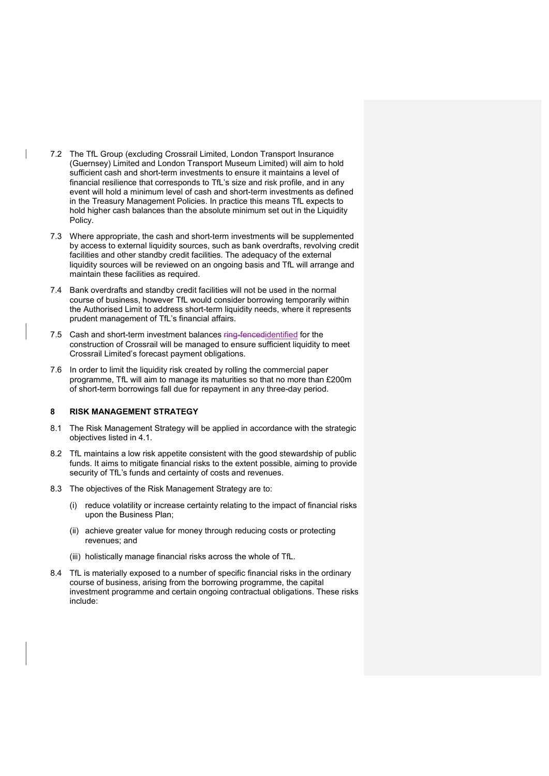- 7.2 The TfL Group (excluding Crossrail Limited, London Transport Insurance (Guernsey) Limited and London Transport Museum Limited) will aim to hold sufficient cash and short-term investments to ensure it maintains a level of financial resilience that corresponds to TfL's size and risk profile, and in any event will hold a minimum level of cash and short-term investments as defined in the Treasury Management Policies. In practice this means TfL expects to hold higher cash balances than the absolute minimum set out in the Liquidity Policy.
- 7.3 Where appropriate, the cash and short-term investments will be supplemented by access to external liquidity sources, such as bank overdrafts, revolving credit facilities and other standby credit facilities. The adequacy of the external liquidity sources will be reviewed on an ongoing basis and TfL will arrange and maintain these facilities as required.
- 7.4 Bank overdrafts and standby credit facilities will not be used in the normal course of business, however TfL would consider borrowing temporarily within the Authorised Limit to address short-term liquidity needs, where it represents prudent management of TfL's financial affairs.
- 7.5 Cash and short-term investment balances ring-fencedidentified for the construction of Crossrail will be managed to ensure sufficient liquidity to meet Crossrail Limited's forecast payment obligations.
- 7.6 In order to limit the liquidity risk created by rolling the commercial paper programme, TfL will aim to manage its maturities so that no more than £200m of short-term borrowings fall due for repayment in any three-day period.

#### 8 RISK MANAGEMENT STRATEGY

- 8.1 The Risk Management Strategy will be applied in accordance with the strategic objectives listed in 4.1.
- 8.2 TfL maintains a low risk appetite consistent with the good stewardship of public funds. It aims to mitigate financial risks to the extent possible, aiming to provide security of TfL's funds and certainty of costs and revenues.
- 8.3 The objectives of the Risk Management Strategy are to:
	- (i) reduce volatility or increase certainty relating to the impact of financial risks upon the Business Plan;
	- (ii) achieve greater value for money through reducing costs or protecting revenues; and
	- (iii) holistically manage financial risks across the whole of TfL.
- 8.4 TfL is materially exposed to a number of specific financial risks in the ordinary course of business, arising from the borrowing programme, the capital investment programme and certain ongoing contractual obligations. These risks include: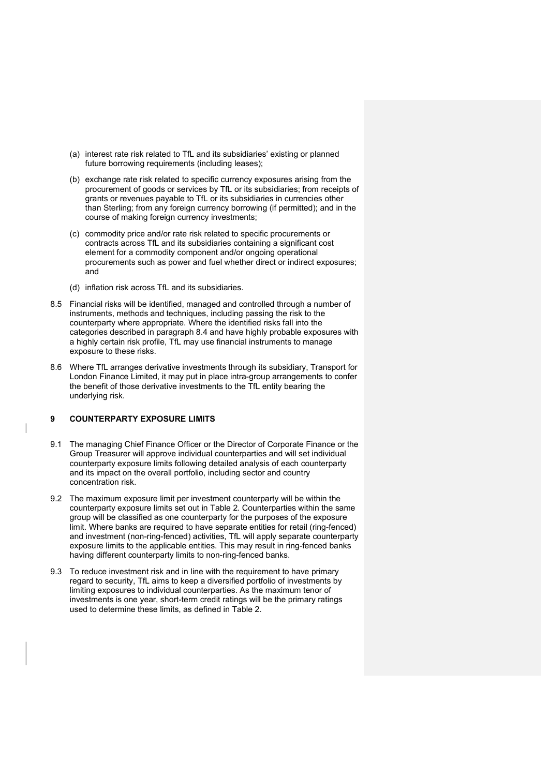- (a) interest rate risk related to TfL and its subsidiaries' existing or planned future borrowing requirements (including leases);
- (b) exchange rate risk related to specific currency exposures arising from the procurement of goods or services by TfL or its subsidiaries; from receipts of grants or revenues payable to TfL or its subsidiaries in currencies other than Sterling; from any foreign currency borrowing (if permitted); and in the course of making foreign currency investments;
- (c) commodity price and/or rate risk related to specific procurements or contracts across TfL and its subsidiaries containing a significant cost element for a commodity component and/or ongoing operational procurements such as power and fuel whether direct or indirect exposures; and
- (d) inflation risk across TfL and its subsidiaries.
- 8.5 Financial risks will be identified, managed and controlled through a number of instruments, methods and techniques, including passing the risk to the counterparty where appropriate. Where the identified risks fall into the categories described in paragraph 8.4 and have highly probable exposures with a highly certain risk profile, TfL may use financial instruments to manage exposure to these risks.
- 8.6 Where TfL arranges derivative investments through its subsidiary, Transport for London Finance Limited, it may put in place intra-group arrangements to confer the benefit of those derivative investments to the TfL entity bearing the underlying risk.

## 9 COUNTERPARTY EXPOSURE LIMITS

- 9.1 The managing Chief Finance Officer or the Director of Corporate Finance or the Group Treasurer will approve individual counterparties and will set individual counterparty exposure limits following detailed analysis of each counterparty and its impact on the overall portfolio, including sector and country concentration risk.
- 9.2 The maximum exposure limit per investment counterparty will be within the counterparty exposure limits set out in Table 2. Counterparties within the same group will be classified as one counterparty for the purposes of the exposure limit. Where banks are required to have separate entities for retail (ring-fenced) and investment (non-ring-fenced) activities, TfL will apply separate counterparty exposure limits to the applicable entities. This may result in ring-fenced banks having different counterparty limits to non-ring-fenced banks.
- 9.3 To reduce investment risk and in line with the requirement to have primary regard to security, TfL aims to keep a diversified portfolio of investments by limiting exposures to individual counterparties. As the maximum tenor of investments is one year, short-term credit ratings will be the primary ratings used to determine these limits, as defined in Table 2.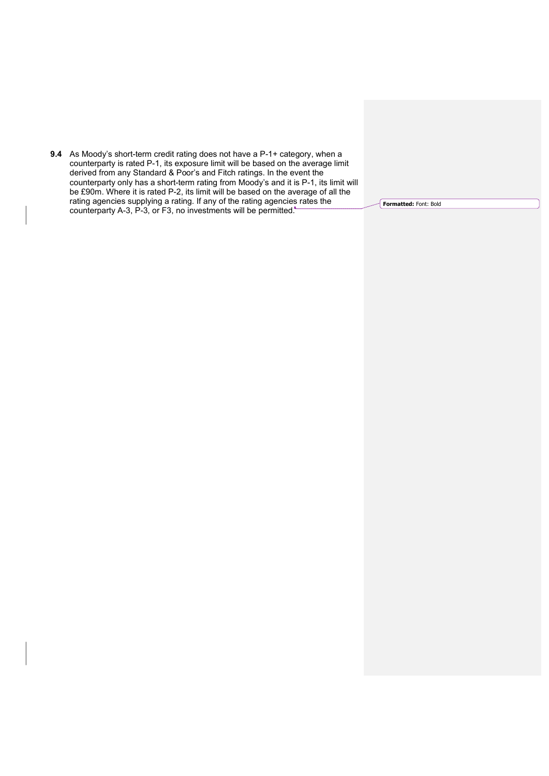9.4 As Moody's short-term credit rating does not have a P-1+ category, when a counterparty is rated P-1, its exposure limit will be based on the average limit derived from any Standard & Poor's and Fitch ratings. In the event the counterparty only has a short-term rating from Moody's and it is P-1, its limit will be £90m. Where it is rated P-2, its limit will be based on the average of all the rating agencies supplying a rating. If any of the rating agencies rates the counterparty A-3, P-3, or F3, no investments will be permitted.<sup>+</sup>

Formatted: Font: Bold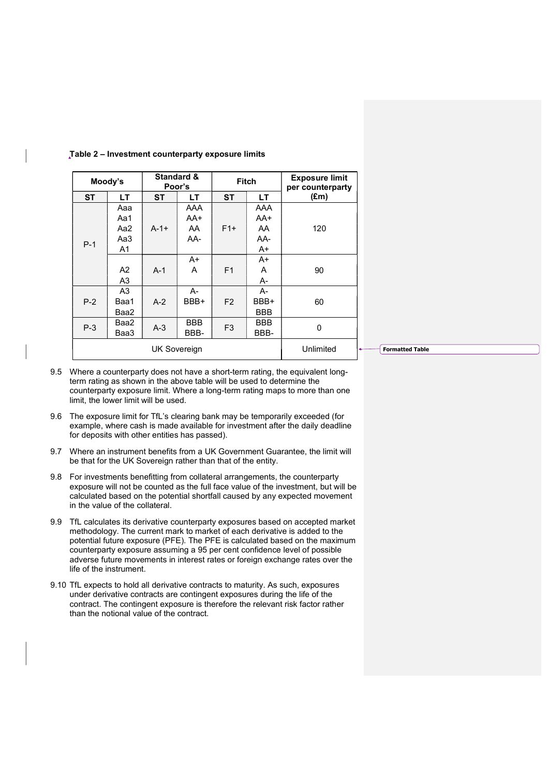| Moody's      |                | <b>Standard &amp;</b><br>Poor's |      | <b>Fitch</b>   |            | <b>Exposure limit</b><br>per counterparty |
|--------------|----------------|---------------------------------|------|----------------|------------|-------------------------------------------|
| <b>ST</b>    | LT.            | <b>ST</b>                       | LT.  | <b>ST</b>      | LТ         | $(\text{Em})$                             |
| $P-1$        | Aaa            |                                 | AAA  |                | AAA        |                                           |
|              | Aa1            |                                 | AA+  |                | $AA+$      |                                           |
|              | Aa2            | $A-1+$                          | AA   | $F1+$          | AA         | 120                                       |
|              | Aa3            |                                 | AA-  |                | AA-        |                                           |
|              | A <sub>1</sub> |                                 |      |                | A+         |                                           |
|              |                |                                 | A+   |                | $A+$       |                                           |
|              | A2             | $A-1$                           | A    | F <sub>1</sub> | A          | 90                                        |
|              | A <sub>3</sub> |                                 |      |                | А-         |                                           |
| $P-2$        | A3             |                                 | А-   |                | А-         |                                           |
|              | Baa1           | $A-2$                           | BBB+ | F <sub>2</sub> | BBB+       | 60                                        |
|              | Baa2           |                                 |      |                | <b>BBB</b> |                                           |
| $P-3$        | Baa2           | $A-3$                           | BBB  | F <sub>3</sub> | <b>BBB</b> | 0                                         |
|              | Baa3           |                                 | BBB- |                |            | BBB-                                      |
| UK Sovereign |                |                                 |      |                |            | Unlimited                                 |

#### Table 2 – Investment counterparty exposure limits

**Formatted Table** 

- 9.5 Where a counterparty does not have a short-term rating, the equivalent longterm rating as shown in the above table will be used to determine the counterparty exposure limit. Where a long-term rating maps to more than one limit, the lower limit will be used.
- 9.6 The exposure limit for TfL's clearing bank may be temporarily exceeded (for example, where cash is made available for investment after the daily deadline for deposits with other entities has passed).
- 9.7 Where an instrument benefits from a UK Government Guarantee, the limit will be that for the UK Sovereign rather than that of the entity.
- 9.8 For investments benefitting from collateral arrangements, the counterparty exposure will not be counted as the full face value of the investment, but will be calculated based on the potential shortfall caused by any expected movement in the value of the collateral.
- 9.9 TfL calculates its derivative counterparty exposures based on accepted market methodology. The current mark to market of each derivative is added to the potential future exposure (PFE). The PFE is calculated based on the maximum counterparty exposure assuming a 95 per cent confidence level of possible adverse future movements in interest rates or foreign exchange rates over the life of the instrument.
- 9.10 TfL expects to hold all derivative contracts to maturity. As such, exposures under derivative contracts are contingent exposures during the life of the contract. The contingent exposure is therefore the relevant risk factor rather than the notional value of the contract.